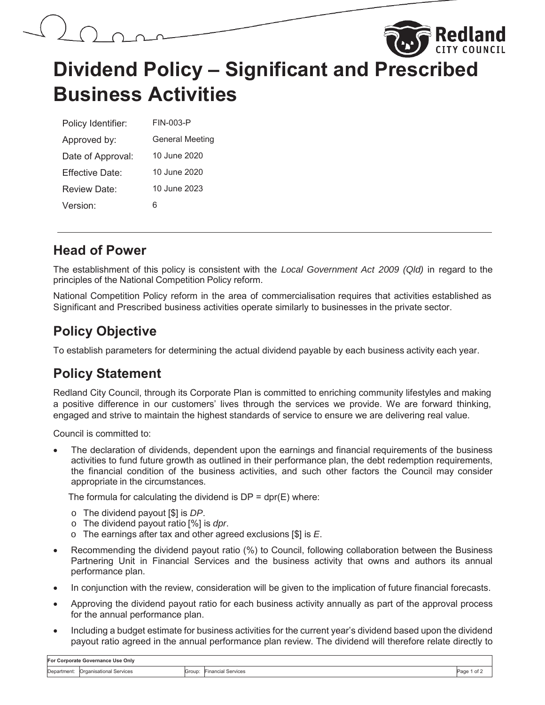# **Dividend Policy – Significant and Prescribed Business Activities**

Rediand

| Policy Identifier:   | FIN-003-P              |
|----------------------|------------------------|
| Approved by:         | <b>General Meeting</b> |
| Date of Approval:    | 10 June 2020           |
| Effective Date:      | 10 June 2020           |
| Review Date:         | 10 June 2023           |
| Version <sup>-</sup> | ห                      |

## **Head of Power**

The establishment of this policy is consistent with the *Local Government Act 2009 (Qld)* in regard to the principles of the National Competition Policy reform.

National Competition Policy reform in the area of commercialisation requires that activities established as Significant and Prescribed business activities operate similarly to businesses in the private sector.

## **Policy Objective**

To establish parameters for determining the actual dividend payable by each business activity each year.

## **Policy Statement**

Redland City Council, through its Corporate Plan is committed to enriching community lifestyles and making a positive difference in our customers' lives through the services we provide. We are forward thinking, engaged and strive to maintain the highest standards of service to ensure we are delivering real value.

Council is committed to:

The declaration of dividends, dependent upon the earnings and financial requirements of the business activities to fund future growth as outlined in their performance plan, the debt redemption requirements, the financial condition of the business activities, and such other factors the Council may consider appropriate in the circumstances.

The formula for calculating the dividend is  $DP = dpr(E)$  where:

- o The dividend payout [\$] is *DP*.
- o The dividend payout ratio [%] is *dpr*.
- o The earnings after tax and other agreed exclusions [\$] is *E*.
- Recommending the dividend payout ratio (%) to Council, following collaboration between the Business Partnering Unit in Financial Services and the business activity that owns and authors its annual performance plan.
- In conjunction with the review, consideration will be given to the implication of future financial forecasts.
- Approving the dividend payout ratio for each business activity annually as part of the approval process for the annual performance plan.
- Including a budget estimate for business activities for the current year's dividend based upon the dividend payout ratio agreed in the annual performance plan review. The dividend will therefore relate directly to

| For Corporate Governance Use Only |                         |        |                    |               |  |  |
|-----------------------------------|-------------------------|--------|--------------------|---------------|--|--|
| :Department                       | Organisational Services | Group: | Financial Services | Page<br>'of ∡ |  |  |